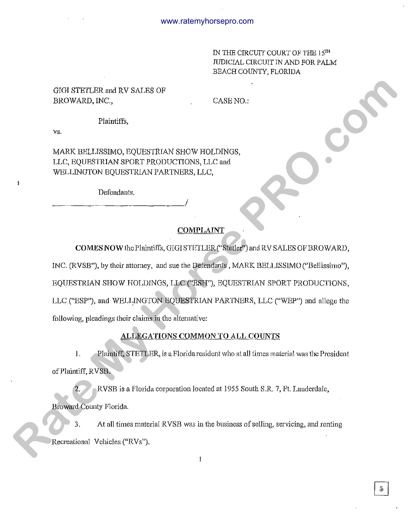IN THE CIRCUIT COURT OF THE 15TH JUDICIAL CIRCUIT IN AND FOR PALM BEACH COUNTY, FLORIDA

# GIGI STETLER and RV SALES OF BROWARD, INC.,

CASE NO.:

# Plaintiffs,

vs.

MARK BELLISSIMO, EQUESTRIAN SHOW HOLDINGS, LLC, EQUESTRIAN SPORT PRODUCTIONS, LLC and WELLINGTON EQUESTRIAN PARTNERS, LLC,

Defendants.

------------------------~!

### COMPLAINT

COMESNOWthePlaintiffs, GIGISTETLER("Stetler") and RV SALES OFBROWARD, INC. (RVSB"), by their attorney, and sue the Defendants, MARK BELLISSiMO (''Bellissimo"), EQUESTRIAN SHOW HOLDINGS, LLC ("ESH"), EQUESTRIAN SPORT PRODUCTIONS, LLC ("ESP"), and WELLINGTON EQUESTRIAN PARTNERS, LLC ("WEP") and allege the following, pleadings their claims in the altemative: **GOMETAIRE and RV SALES OP**<br> **RANEX BELLISSING), EQUIST RIGHT SHOW HOLDINGS,**<br> **RANEX BELLISSING), EQUIST RIGHT SHOW HOLDINGS**,<br> **RATE MY HORSE REAT AND PROPER TROP** REAT AGAINST AND PRODUCTING THE DETENTION REQUIST RIGHT

# ALLEGATIONS COMMON TO ALL COUNTS

1. Plaintiff, STETLER, is a Florida resident who at all times material was the President of Plaintiff, RVSB.

2. RVSB is a Florida corporation located at 1955 South S.R. 7, Ft. Lauderdale, Broward County Florida.

3. At all times material RVSB was in the business of selling, servicing, and renting Recreational Vehicles ("RVs").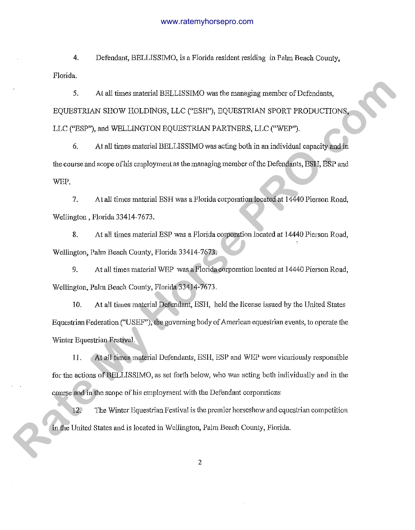4. Defendant, BELLISSIMO, is a Florida resident residing in Palm Beach County, Florida.

*5.* At all times material BELLISSIMO was the managing member of Defendants, EQUESTRIAN SHOW HOLDINGS, LLC ("ESH"), EQUESTRIAN SPORT PRODUCTIONS, LLC ("ESP"), and WELLINGTON EQUESTRIAN PARTNERS, LLC ("WEP"). 5. At all times matchd BELLISSIMO was the managing member of Defendants,<br>**RQUISTRIAN SIXOV** ITOLDINGS, LLC ("ESP"), DQUISTRIAN SFORT PRODUCTIONS,<br>LLC ("ESP"), and WELLINGTON RQUISTRIAN PARTIVERS, LLC ("WEP").<br>
5. At all ti

6. At all times material BELLISSIMO was acting both in an individual capacity and in the course and scope of his employment as the managing member of the Defendants, ESH, ESP and WEP.

7. *A* l all times material ESH was a Florida corporation located at 14440 Pierson Road, Wellington, Florida 33414-7673.

8. At all times material ESP was a Florida corporation located at 14440 Pierson Road, Wellington, Palm Beach County, Florida 33414-7673.

9. At all times material WEP was a Florida corporation located at 14440 Pierson Road, Wellington, Palm Beach County, Florida 33414-7673.

10. At all times material Defendant, ESH, held the license issued by the United States Equestrian Federation ("USEF"), the governing body of American equestrian events, to operate the Winter Equestrian Festival.

11. At all times material Defendants, ESH, ESP and WEP were vicariously responsible for the actions of BELLISSIMO, as set forth below, who was acting both individually and in the course and in the scope of his employment with the Defendant corporations

12. The Winter Equestrian Festival is the premier horses how and equestrian competition in the United States and is located in Wellington, Palm Beach County, Florida.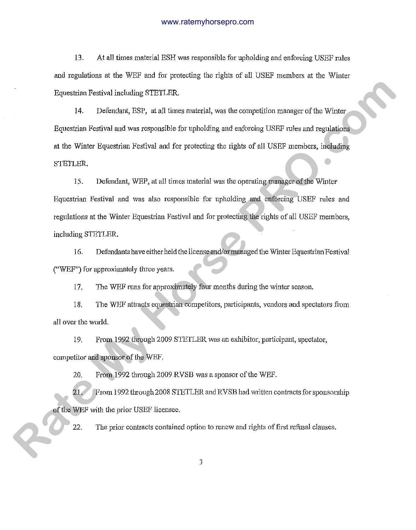13. At all times material ESH was responsible for upholding and enforcing USEF rules and regulations at the WEF and for protecting the rights of all USEF members at the Winter Equestrian Festival including STETLER.

14. Defendant, ESP, at all times material, was the competition manager of the Winter Equestrian Festival and was responsible for upholding and enforcing USEF rules and regulations at the Winter Equestrian Festival and for protecting the rights of all USEF members, including STETLER.

15. Defendant, WEP, at all times material was the operating manager of the Winter Equestrian Festival and was also responsible for upholding and enforcing USEF rules and regulations at the Winter Equestrian Festival and for protecting the rights of all USEF members, including STETLER. Equestrian Festival including STETLER.<br>
14. Defendant, ESP, at all times material, was the competitive entropyer of the Winter<br> **Rate My Horse Proposition Festival and two sequestrials for protocoling and entropying USER** 

16. Defendants have either held the license and/or managed the Winter Equestrian Festival ("WEF") for approximately three years.

17. The WEF runs for approximately four months during the winter season.

18. The WEF attracts equestrian competitors, participants, vendors and spectators from all over the world.

19. From 1992 through 2009 STETLER was an exhibitor, participant, spectator, competitor and sponsor of the WEF.

20. From 1992 through 2009 RVSB was a sponsor of the WEF.

21. From 1992 through 2008 STETLER and RVSB had written contracts for sponsorship of the WEF with the prior USEF licensee.

22. The prior contracts contained option to renew and rights of first refusal clauses.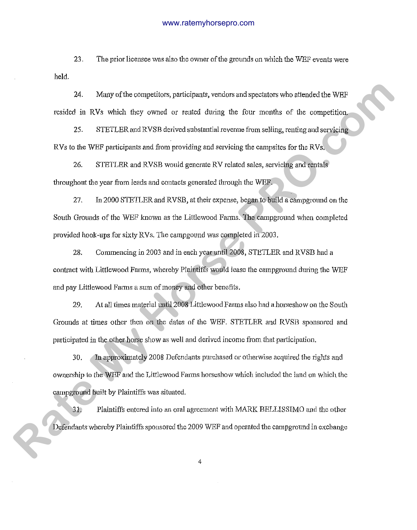23. The prior licensee was also the owner of the grounds on which the WEF events were held.

24. Many of the competitors, participants, vendors and spectators who attended the WEF resided in RVs which they owned or rented dming the four months of the competition.

25. STETLER and RVSB derived substantial revenue from selling, renting and servicing RVs to the WEF participants and from providing and servicing the campsites for the RVs.

26. STETLER and RVSB would generate RV related sales, servicing and rentals throughout the year from leads and contacts generated through the WEF.

27. In 2000 STETLER and RVSB, at their expense, began to build a campground on the South Grounds of the WEF known as the Littlewood Farms. The campground when completed provided hook-ups for *sixty* RVs. The campgound was completed in 2003. 24. Many of the competitors, participants, vertices and predictors who attended the WEF resided in RVs which they covered or resided theirs, the form member of the competition.<br>25. STETLER and RVSB derived rabitation betw

28. Commencing in 2003 and in each year until2008, STETLER and RVSB had a contract with Littlewood Farms, whereby Plaintiffs would lease the campground during the WEF and pay Littlewood Farms a sum of money and other benefits.

29. At all times material until2008 Littlewood Farms also had ahorseshow on the South Grounds at times other then on the dates of the WEF. STETLER and RVSB sponsored and participated in the other horse show as well and derived income from that participation.

30. In approximately 2008 Defendants purchased or otherwise acquirecl the rights and ownership to the WEF and the Littlewood Farms horseshow which included the land on which the campground built by Plaintiffs was situated.

31. Plaintiffs entered into an oral agreement with MARK BELLISSIMO and the other Defendants whereby Plaintiffs sponsored the 2009 WEF and operated the campground in exchange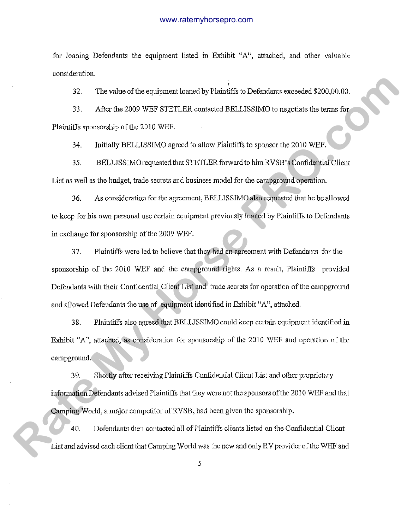for loaning Defendants the equipment listed in Exhibit "A", attached, and other valuable consideration.

; 32. The value of the equipment loaned by Plaintiffs to Defendants exceeded \$200,00.00.

33. After the 2009 WEF STETLER contacted BELLISSIMO to negotiate the terms for Plaintiffs sponsorship of the 2010 WEF.

34. Initially BELLISSIMO agreed to allow Plaintiffs to sponsor the 2010 WEF.

35. BELLJSSIMOrequested that STETLERforward to himRVSB's Confidential Client List as well as the budget, trade secrets and business model for the campground operation.

36. As consideration for the agreement, BELLISSIMO also requested that he be allowed to keep for his own personal use certain equipment previously loaned by Plaintiffs to Defendants in exchange for sponsorship of the 2009 WEF.

37. Plaintiffs were led to believe that they had an agreement with Defendants for the sponsorship of the 2010 WEF and the campground rights. As a result, Plaintiffs provided Defendants with their Confidential Client List and trade secrets for operation of the campground and allowed Defendants the use of equipment identified in Exhibit "A", attached. 22 The will no of the expirement frame of by Flat off fit to Define has a second £200,00.0.<br>
After the 2000 WHF STETLER contacted BELLISSIMO is negatively do norm for<br>
Planifith spousosing of the 2010 WHF.<br> **H.** Initially

38. Plaintiffs also agreed that BELLISSIMO could keep certain equipment identified in Exhibit "A", attached, as consideration for sponsorship of the 2010 WEF and operation of the campground.

39. Shortly after receiving Plaintiffs Confidential Client List and other proprietary information Defendants advised Plaintiffs that they were not the sponsors of the 2010 WEF and that Camping World, a major competitor of RVSB, had been given the sponsorship.

40. Defendants then contacted all of Plaintiffs clients listed on the Confidential Client List and advised each client that Camping World was the new and only RV provider of the WEF and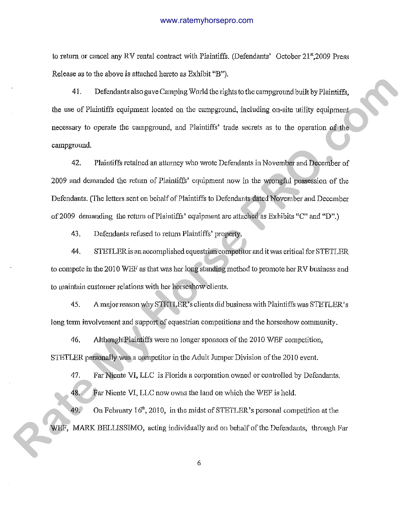to return or cancel any RV rental contract with Plaintiffs. (Defendants' October 21st, 2009 Press Release as to the above is attached hereto as Exhibit "B").

41. Defendants also gave Camping World the rights to the campground built by Plaintiffs. the use of Plaintiffs equipment located on the campground, including on-site utility equipment necessary to operate the campground, and Plaintiffs' trade secrets as to the operation of the campground. **Rate of the controllering and the signal of the comparison of the Figure of the comparison of the time of Plaintiffs equipment (costed on the comparison), including on-site utility equipment processiony to eperation the** 

42. Plaintiffs retained an attorney who wrote Defendants in November and December of 2009 and demanded the return of Plaintiffs' equipment now in the wrongful possession of the Defendants. (The letters sent on behalf of Plaintiffs to Defendants dated November and December of2009 demanding the retum of Plaintiffs' equipment are attached as Exhibits "C" and "D".)

43. Defendants refused to return Plaintiffs' property.

44. STETLER is an accomplished equestrian competitor and it was critical for STETLER to compete in the 2010 WEF as that was her long standing method to promote her RV business and to maintain customer relations with her horseshow clients.

45. Amajorreason why STETLER's clients did business with Plaintiffs was STETLER's long term involvement and support of equestrian competitions and the horseshow community.

46. Although Plaintiffs were no longer sponsors of the 2010 WEF competition, STETLER personally was a competitor in the Adult Jumper Division of the 2010 event.

47. Far Niente VI, LLC is Florida a corporation owned or controlled by Defendants. 48. Far Niente VI, LLC now owns the land on which the WEF is held.

49. On February 16<sup>th</sup>, 2010, in the midst of STETLER's personal competition at the WEF, MARK BELLISSIMO, acting individually and on behalf of the Defendants, through Far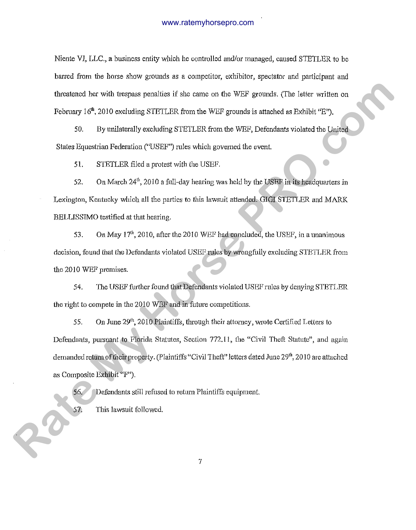Niente VI, LLC., a business entity which he controlled aud/or managed, caused STETLER to be barred from the horse show grounds as a competitor, exhibitor, spectator and participant and threatened her with trespass penalties if she came on the WEF grounds. (The letter written on February  $16^{\text{th}}$ , 2010 excluding STETLER from the WEF grounds is attached as Exhibit  $P$ ").

50. By unilaterally excluding STETLER from the WEF, Defendants violated the United States Equestrian Federation ("USEF") rules which governed the event.

51. STETLER filed a *protest* with the USEF.

52. On March  $24^{\text{th}}$ , 2010 a full-day hearing was held by the USEF in its headquarters in Lexington, Kentucky which all the parties to this lawsuit attended. GIGI STETLER and MARK BELLISSIMO testified at that hearing.

53. On May  $17<sup>th</sup>$ , 2010, after the 2010 WEF had concluded, the USEF, in a unanimous decision, found that the Defendants violated USEF rules by wrongfully excluding STETLER from the 2010 WEF premises.

54. The USEF further found that Defendants violated USEF rules by denying STETLER the right to compete in the  $2010$  WEF and in future competitions.

55. On June  $29<sup>th</sup>$ , 2010 Plaintiffs, through their attorney, wrote Certified Letters to Defendants, pursuant to Florida Statutes, Section 772.11, the "Civil Theft Statute", and again demanded return of their property. (Plaintiffs "Civil Theft" letters dated June 29<sup>th</sup>, 2010 are attached as Composite Exhibit "F"). threatened her with treatas periodics if a.se cause on the WEP grounds, (The letter withen on<br>February 16°, 2010 excluding STRTLER from the WEP grounds is attached as Exhibit TFP,<br>50. By unilaterally excluding STRTLER fro

56. Defendants still refiised to return Plaintiffs equipment 57. This lawsuit followed.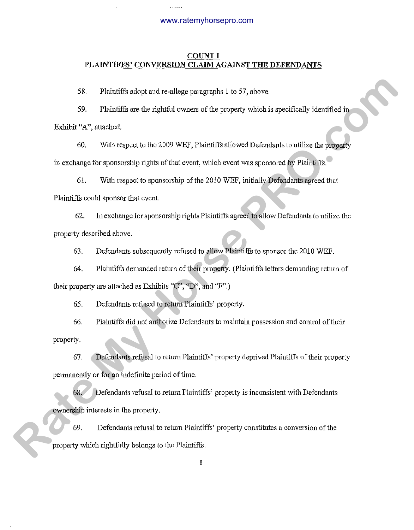# **COUNT I PLAINTIFFS' CONVERSION CLAIM AGAINST THE DEFENDANTS**

58. Plaintiffs adopt and re-allege paragraphs 1 to 57, above.

-··--··-·-----. ·--······-· ---------·------········ ---

59. Plaintiffs are the rightful owners of the property which is specifically identified in Exhibit "A", attached. 58. Plaintiffs about ond readings generates) at to 57, elove.<br> **S2.** Plaintiffs are the rightful owners of the property which is excellently identified in<br>
Takishi "A", attacked.<br>
60. With respect to the 2009 WFF, Plainti

60. With respect to the 2009 WEF, Plaintiffs allowed Defendants to utilize the property in exchange for sponsorship rights of that event, which event was sponsored by Plaintiffs.

61. With respect to sponsorship of the 2010 WEF, initially Defendants agreed that Plaintiffs could sponsor that event.

62. In exchange for sponsorship rights Plaintiffs agreed to allow Defendants to utilize the property described above.

63. Defendants subsequently refused to allow Plaintiffs to sponsor the 2010 WEF.

64. Plaintiffs demanded return of their property. (Plaintiffs letters demanding retum of their property are attached as Exhibits "C", "D", and "F".)

65. Defendants refused to return Plaintiffs' property.

66. Plaintiffs did not authorize Defendants to maintain possession and control oftheir property.

67. Defendants refusal to return Plaintiffs' property deprived Plaintiffs of their property permanently or for an indefinite period of time.

68. Defendants refusal to return Plaintiffs' property is inconsistent with Defendants ownership interests in the property.

69. Defendants refusal to return Plaintiffs' property constitutes a conversion of the property which rightfully belongs to the Plaintiffs.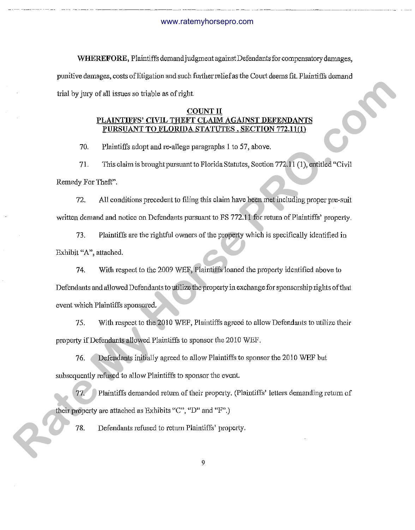**WHEREFORE,** Plaintiffs demand judgment against Defendants for compensatory damages, punitive damages, costs of litigation and such further relief as the Court deems fit. Plaintiffs demand trial by jury of all issues so triable as of right.

# **COUNT IT**  AINTIFFS' CIVIL THEFT CLAIM **PURSUANT TO FLORIDA STATUTES, SECTION 772.11(1)**

70. Plaintiffs adopt and re-allege paragraphs 1 to 57, above.

71. This claim is brought pursuant to Florida Statutes, Section 772.11 (1), entitled "Civil" Remedy For Theft".

72. All conditions precedent to filing this claim have been met including proper pre-suit written demand and notice on Defendants pursuant to FS 772.11 for return of Plaintiffs' property.

73. Plaintiffs are the rightful owners of the property which is specifically identified in Exhibit "A", attached.

74. With respect to the 2009 WEF, Plaintiffs loaned the property identified above to Defendants and allowed Defendants to utilize the property in exchange for sponsorship rights of that event which Plaintiffs sponsored. Trial by jusy of all tests<br>as no triable as of rights<br>**PLAINTIPPS' CAVIL THE COUNT II**<br>**REACTION TRIAL COUNTIFICATIONS IS DETERMINENT COUNTIFICATIONS**<br>**RATE TRIAL COUNTIFICATION STATUTES. SECTION TRIALITY (FOR TRIALITY)**<br>

75. With respect to the 2010 WEF, Plaintiffs agreed to allow Defendants to utilize their property if Defendants allowed Plaintiffs to sponsor the 2010 WEF.

76. Defendants initially agreed to allow Plaintiffs to sponsor the 20 I 0 WEF but subsequently refused to allow Plaintiffs to sponsor the event.

77. Plaintiffs demanded return of their property. (Plaintiffs' letters demanding return of their property are attached as Exhibits "C", "D" and "F".)

78. Defendants refused to return Plaintiffs' property.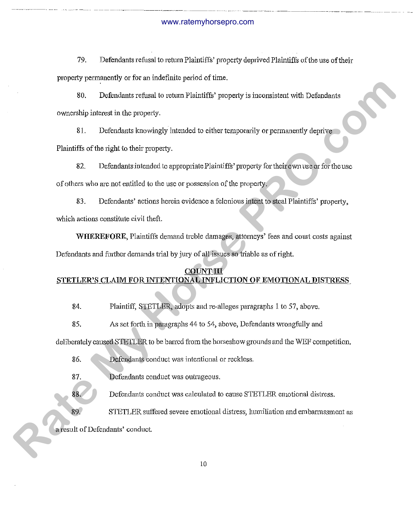----~---------------------- ------·- .. ··- ------------ ···----··· ------~-------------

79. Defendants refusal to return Plaintiffs' property deprived Plaintiffs of the use of their property permanently or for an indefinite period of time.

80. Defendants refusal to return Plaintiffs' property is inconsistent with Defendants ownership interest in the property.

81. Defendants knowingly intended to either temporarily or permanently deprive Plaintiffs of the right to their property.

82. Defendants intended to appropriate Plaintiffs' property for their own use or for the use of others who are not entitled to the use or possession of the property. **Rate My Horse Property is inversistent** with Definition of the My Horse Property is inversistent with Definition<br>overcellap interest in the property.<br> **Rate My Horse Property.**<br> **Rate My Horse Property.**<br> **Rate My Horse P** 

83. Defendants' actions herein evidence a felonious intent to steal Plaintiffs' property, which actions constitute civil theft.

**WHEREFORE,** Plaintiffs demand treble damages, attorneys' fees and comt costs against Defendants and further demands trial by jury of all issues so triable as of right.

# **COUNT III**  STETLER'S CLAIM FOR INTENTIONAL INFLICTION OF EMOTIONAL DISTRESS

84\_ Plaintiff, STETLER, adopts andre-alleges paragraphs 1 to 57, above.

85. As set fmih in paragraphs 44 to 54, above, Defendants wrongfully and

deliberately caused STETLER to be barred from the horseshow grounds and the WEF competition.

86. Defendants conduct was intentional or reckless.

87. Defendants conduct was outrageous.

Defendants conduct was calculated to cause STETLER emotional distress.

STETLER suffered severe emotional distress, humiliation and embarrassment as

a result of Defendants' conduct.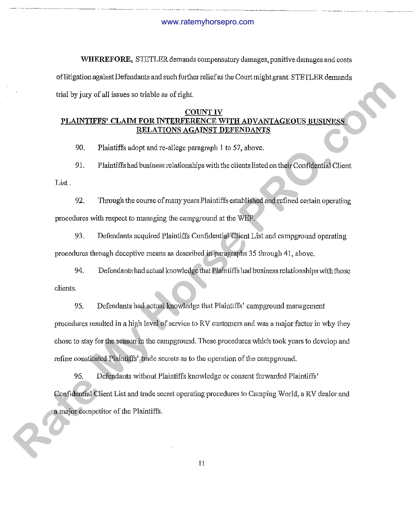WHEREFORE, STETLER demands compensatory damages, punitive damages and costs of litigation against Defendants and such further relief as the Comt might grant. STETLER demands trial by jury of all issues so triable as of right.

# COUNT IV PLAINTIFFS' CLAIM FOR INTERFERENCE WITH ADVANTAGEOUS BUSINESS RELATIONS AGAINST DEFENDANTS

90. Plaintiffs adopt and re-allege paragraph l to 57, above.

91. Plaintiffs had business relationships with the clients listed on their Confidential Client List.

92. Through the course of many years Plaintiffs established and refined certain operating procedures with respect to managing the campground at the \VEF.

93. Defendants acquired Plaintiffs Confidential Client List and campground operating procedures tlrrough deceptive means as described in paragraphs 35 through 41, above.

94. Defendants had actual knowledge that Plaintiffs had business relationships with those clients.

95. Defendants had actual knowledge that Plaintiffs' campground management procedures resulted in a high level of service to RV customers and was a major factor in why they chose to stay for the season in the campground. These procedures which took years to develop and refine constituted Plaintiffs' trade secrets as to the operation of the campground. Find by jury of all issues so triate is of cight.<br> **PLAINTIFYS' CLAIM EOR INTERCRIMENTIVE ADVANTAGEOIS RUSINVAS<br>
EXERCITING SCALES BEEN DIVITED ANY AND ANTIFICATION SECTION OF ALL THEST SECTION SCALES BEEN DIVITED AND ANT** 

96. Defendants without Plaintiffs knowledge or consent forwarded Plaintiffs' Confidential Client List and trade secret operating procedures to Camping World, a RV dealer and a major competitor of the Plaintiffs.